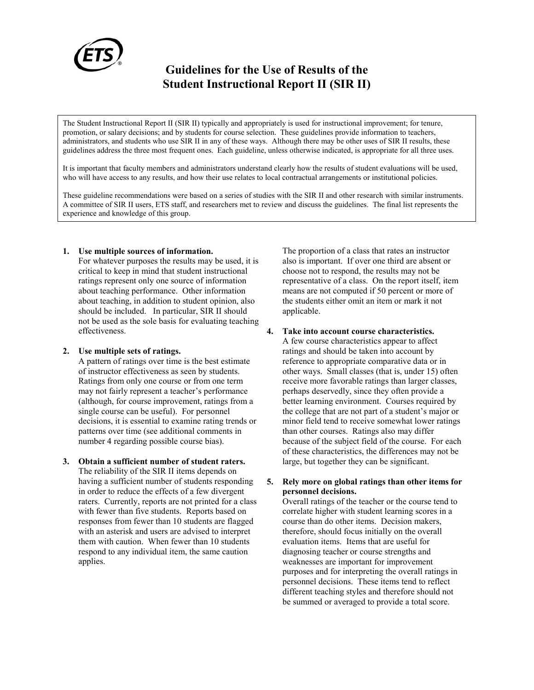

# **Guidelines for the Use of Results of the Student Instructional Report II (SIR II)**

The Student Instructional Report II (SIR II) typically and appropriately is used for instructional improvement; for tenure, promotion, or salary decisions; and by students for course selection. These guidelines provide information to teachers, administrators, and students who use SIR II in any of these ways. Although there may be other uses of SIR II results, these guidelines address the three most frequent ones. Each guideline, unless otherwise indicated, is appropriate for all three uses.

It is important that faculty members and administrators understand clearly how the results of student evaluations will be used, who will have access to any results, and how their use relates to local contractual arrangements or institutional policies.

These guideline recommendations were based on a series of studies with the SIR II and other research with similar instruments. A committee of SIR II users, ETS staff, and researchers met to review and discuss the guidelines. The final list represents the experience and knowledge of this group.

#### **1. Use multiple sources of information.**

For whatever purposes the results may be used, it is critical to keep in mind that student instructional ratings represent only one source of information about teaching performance. Other information about teaching, in addition to student opinion, also should be included. In particular, SIR II should not be used as the sole basis for evaluating teaching effectiveness.

#### **2. Use multiple sets of ratings.**

A pattern of ratings over time is the best estimate of instructor effectiveness as seen by students. Ratings from only one course or from one term may not fairly represent a teacher's performance (although, for course improvement, ratings from a single course can be useful). For personnel decisions, it is essential to examine rating trends or patterns over time (see additional comments in number 4 regarding possible course bias).

**3. Obtain a sufficient number of student raters.** The reliability of the SIR II items depends on having a sufficient number of students responding in order to reduce the effects of a few divergent raters. Currently, reports are not printed for a class with fewer than five students. Reports based on responses from fewer than 10 students are flagged with an asterisk and users are advised to interpret them with caution. When fewer than 10 students respond to any individual item, the same caution applies.

The proportion of a class that rates an instructor also is important. If over one third are absent or choose not to respond, the results may not be representative of a class. On the report itself, item means are not computed if 50 percent or more of the students either omit an item or mark it not applicable.

#### **4. Take into account course characteristics.**

A few course characteristics appear to affect ratings and should be taken into account by reference to appropriate comparative data or in other ways. Small classes (that is, under 15) often receive more favorable ratings than larger classes, perhaps deservedly, since they often provide a better learning environment. Courses required by the college that are not part of a student's major or minor field tend to receive somewhat lower ratings than other courses. Ratings also may differ because of the subject field of the course. For each of these characteristics, the differences may not be large, but together they can be significant.

#### **5. Rely more on global ratings than other items for personnel decisions.**

Overall ratings of the teacher or the course tend to correlate higher with student learning scores in a course than do other items. Decision makers, therefore, should focus initially on the overall evaluation items. Items that are useful for diagnosing teacher or course strengths and weaknesses are important for improvement purposes and for interpreting the overall ratings in personnel decisions. These items tend to reflect different teaching styles and therefore should not be summed or averaged to provide a total score.